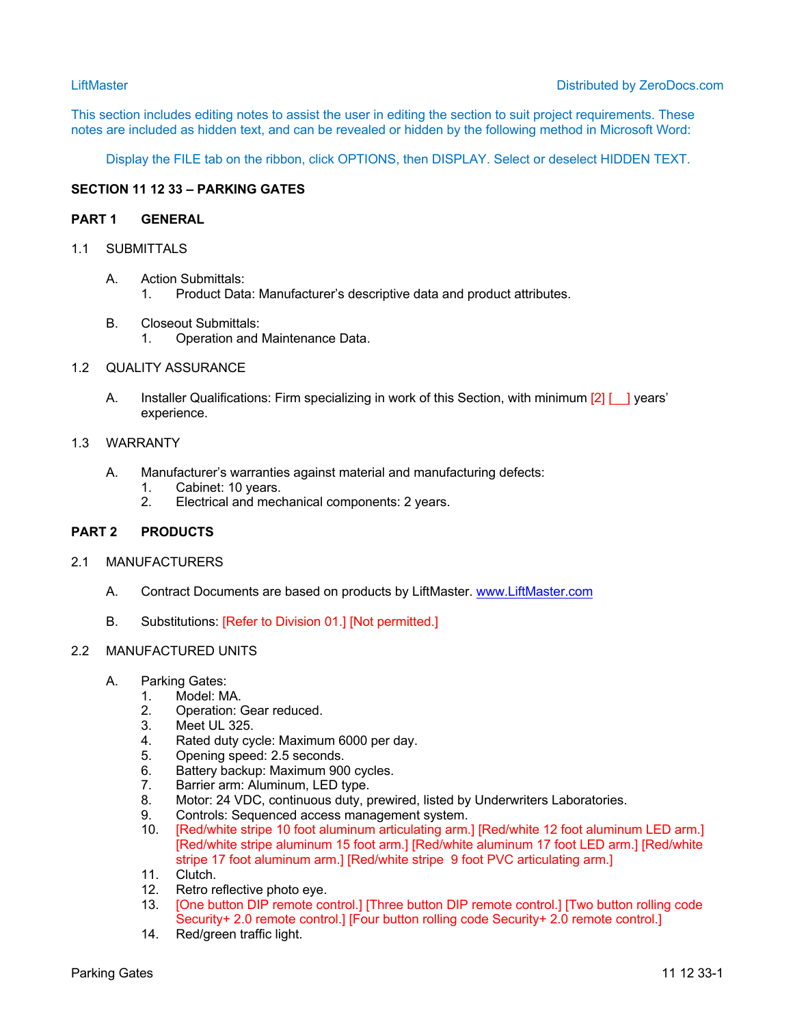This section includes editing notes to assist the user in editing the section to suit project requirements. These notes are included as hidden text, and can be revealed or hidden by the following method in Microsoft Word:

Display the FILE tab on the ribbon, click OPTIONS, then DISPLAY. Select or deselect HIDDEN TEXT.

# **SECTION 11 12 33 – PARKING GATES**

## **PART 1 GENERAL**

# 1.1 SUBMITTALS

- A. Action Submittals: 1. Product Data: Manufacturer's descriptive data and product attributes.
- B. Closeout Submittals: 1. Operation and Maintenance Data.

# 1.2 QUALITY ASSURANCE

A. Installer Qualifications: Firm specializing in work of this Section, with minimum [2] [ ] l years' experience.

## 1.3 WARRANTY

- A. Manufacturer's warranties against material and manufacturing defects:
	- 1. Cabinet: 10 years.
	- 2. Electrical and mechanical components: 2 years.

## **PART 2 PRODUCTS**

## 2.1 MANUFACTURERS

- A. Contract Documents are based on products by LiftMaster. www.LiftMaster.com
- B. Substitutions: [Refer to Division 01.] [Not permitted.]

## 2.2 MANUFACTURED UNITS

- A. Parking Gates:
	- 1. Model: MA.
	- 2. Operation: Gear reduced.
	- 3. Meet UL 325.<br>4. Rated duty cv
	- 4. Rated duty cycle: Maximum 6000 per day.<br>5. Opening speed: 2.5 seconds.
	- Opening speed: 2.5 seconds.
	- 6. Battery backup: Maximum 900 cycles.<br>7. Barrier arm: Aluminum, LED type.
	- Barrier arm: Aluminum, LED type.
	- 8. Motor: 24 VDC, continuous duty, prewired, listed by Underwriters Laboratories.
	- 9. Controls: Sequenced access management system.
	- 10. [Red/white stripe 10 foot aluminum articulating arm.] [Red/white 12 foot aluminum LED arm.] [Red/white stripe aluminum 15 foot arm.] [Red/white aluminum 17 foot LED arm.] [Red/white stripe 17 foot aluminum arm.] [Red/white stripe 9 foot PVC articulating arm.]
	- 11. Clutch.
	- 12. Retro reflective photo eye.
	- 13. [One button DIP remote control.] [Three button DIP remote control.] [Two button rolling code Security+ 2.0 remote control.] [Four button rolling code Security+ 2.0 remote control.]
	- 14. Red/green traffic light.